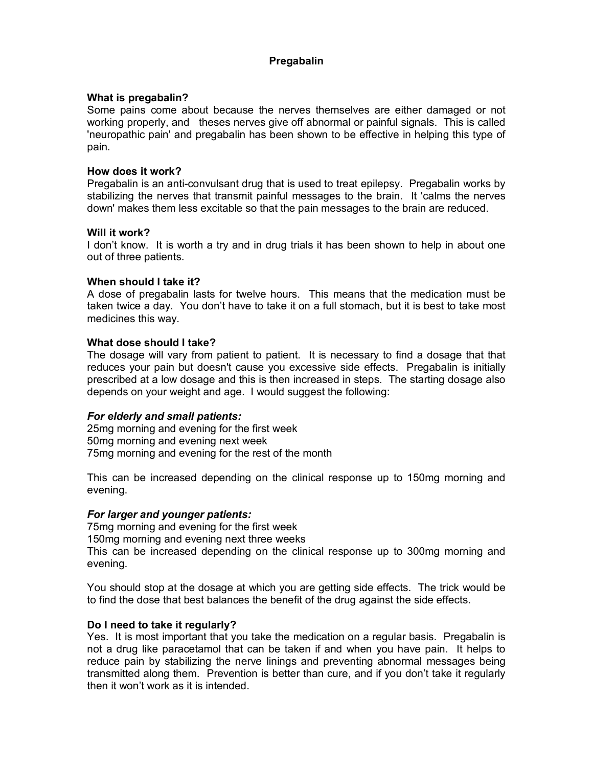# **Pregabalin**

### **What is pregabalin?**

Some pains come about because the nerves themselves are either damaged or not working properly, and theses nerves give off abnormal or painful signals. This is called 'neuropathic pain' and pregabalin has been shown to be effective in helping this type of pain.

#### **How does it work?**

Pregabalin is an anti-convulsant drug that is used to treat epilepsy. Pregabalin works by stabilizing the nerves that transmit painful messages to the brain. It 'calms the nerves down' makes them less excitable so that the pain messages to the brain are reduced.

#### **Will it work?**

I don't know. It is worth a try and in drug trials it has been shown to help in about one out of three patients.

### **When should I take it?**

A dose of pregabalin lasts for twelve hours. This means that the medication must be taken twice a day. You don't have to take it on a full stomach, but it is best to take most medicines this way.

#### **What dose should I take?**

The dosage will vary from patient to patient. It is necessary to find a dosage that that reduces your pain but doesn't cause you excessive side effects. Pregabalin is initially prescribed at a low dosage and this is then increased in steps. The starting dosage also depends on your weight and age. I would suggest the following:

### *For elderly and small patients:*

25mg morning and evening for the first week 50mg morning and evening next week 75mg morning and evening for the rest of the month

This can be increased depending on the clinical response up to 150mg morning and evening.

### *For larger and younger patients:*

75mg morning and evening for the first week

150mg morning and evening next three weeks

This can be increased depending on the clinical response up to 300mg morning and evening.

You should stop at the dosage at which you are getting side effects. The trick would be to find the dose that best balances the benefit of the drug against the side effects.

### **Do I need to take it regularly?**

Yes. It is most important that you take the medication on a regular basis. Pregabalin is not a drug like paracetamol that can be taken if and when you have pain. It helps to reduce pain by stabilizing the nerve linings and preventing abnormal messages being transmitted along them. Prevention is better than cure, and if you don't take it regularly then it won't work as it is intended.